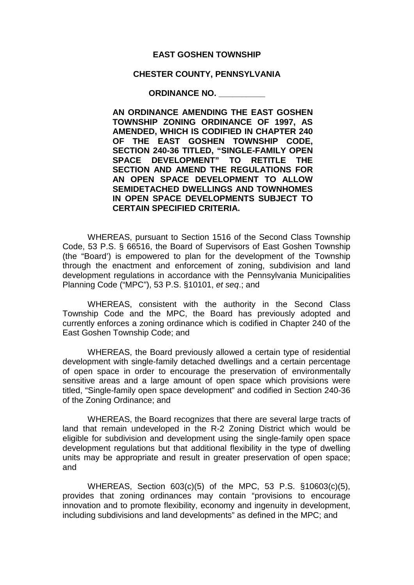## **EAST GOSHEN TOWNSHIP**

## **CHESTER COUNTY, PENNSYLVANIA**

**ORDINANCE NO. \_\_\_\_\_\_\_\_\_\_**

**AN ORDINANCE AMENDING THE EAST GOSHEN TOWNSHIP ZONING ORDINANCE OF 1997, AS AMENDED, WHICH IS CODIFIED IN CHAPTER 240 OF THE EAST GOSHEN TOWNSHIP CODE, SECTION 240-36 TITLED, "SINGLE-FAMILY OPEN SPACE DEVELOPMENT" TO RETITLE THE SECTION AND AMEND THE REGULATIONS FOR AN OPEN SPACE DEVELOPMENT TO ALLOW SEMIDETACHED DWELLINGS AND TOWNHOMES IN OPEN SPACE DEVELOPMENTS SUBJECT TO CERTAIN SPECIFIED CRITERIA.**

WHEREAS, pursuant to Section 1516 of the Second Class Township Code, 53 P.S. § 66516, the Board of Supervisors of East Goshen Township (the "Board') is empowered to plan for the development of the Township through the enactment and enforcement of zoning, subdivision and land development regulations in accordance with the Pennsylvania Municipalities Planning Code ("MPC"), 53 P.S. §10101, *et seq*.; and

WHEREAS, consistent with the authority in the Second Class Township Code and the MPC, the Board has previously adopted and currently enforces a zoning ordinance which is codified in Chapter 240 of the East Goshen Township Code; and

WHEREAS, the Board previously allowed a certain type of residential development with single-family detached dwellings and a certain percentage of open space in order to encourage the preservation of environmentally sensitive areas and a large amount of open space which provisions were titled, "Single-family open space development" and codified in Section 240-36 of the Zoning Ordinance; and

WHEREAS, the Board recognizes that there are several large tracts of land that remain undeveloped in the R-2 Zoning District which would be eligible for subdivision and development using the single-family open space development regulations but that additional flexibility in the type of dwelling units may be appropriate and result in greater preservation of open space; and

WHEREAS, Section 603(c)(5) of the MPC, 53 P.S. §10603(c)(5), provides that zoning ordinances may contain "provisions to encourage innovation and to promote flexibility, economy and ingenuity in development, including subdivisions and land developments" as defined in the MPC; and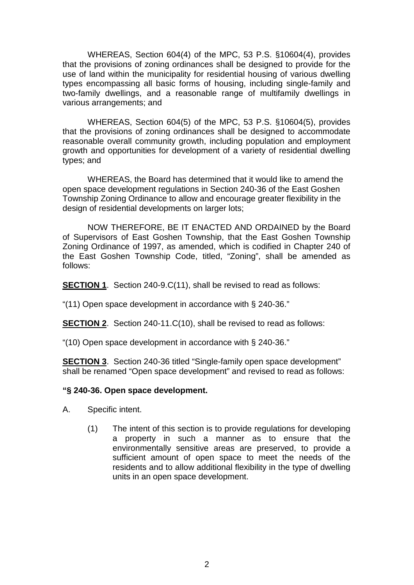WHEREAS, Section 604(4) of the MPC, 53 P.S. §10604(4), provides that the provisions of zoning ordinances shall be designed to provide for the use of land within the municipality for residential housing of various dwelling types encompassing all basic forms of housing, including single-family and two-family dwellings, and a reasonable range of multifamily dwellings in various arrangements; and

WHEREAS, Section 604(5) of the MPC, 53 P.S. §10604(5), provides that the provisions of zoning ordinances shall be designed to accommodate reasonable overall community growth, including population and employment growth and opportunities for development of a variety of residential dwelling types; and

WHEREAS, the Board has determined that it would like to amend the open space development regulations in Section 240-36 of the East Goshen Township Zoning Ordinance to allow and encourage greater flexibility in the design of residential developments on larger lots;

NOW THEREFORE, BE IT ENACTED AND ORDAINED by the Board of Supervisors of East Goshen Township, that the East Goshen Township Zoning Ordinance of 1997, as amended, which is codified in Chapter 240 of the East Goshen Township Code, titled, "Zoning", shall be amended as follows:

**SECTION 1.** Section 240-9.C(11), shall be revised to read as follows:

["\(11\) O](https://ecode360.com/7253163#7253163)pen space development in accordance with § [240-36.](https://ecode360.com/7255417#7255417)"

**SECTION 2**. Section 240-11.C(10), shall be revised to read as follows:

["\(10\) O](https://ecode360.com/7253163#7253163)pen space development in accordance with § [240-36.](https://ecode360.com/7255417#7255417)"

**SECTION 3**. Section 240-36 titled "Single-family open space development" shall be renamed "Open space development" and revised to read as follows:

## **"§ 240-36. Open space development.**

- A. Specific intent.
	- (1) The intent of this section is to provide regulations for developing a property in such a manner as to ensure that the environmentally sensitive areas are preserved, to provide a sufficient amount of open space to meet the needs of the residents and to allow additional flexibility in the type of dwelling units in an open space development.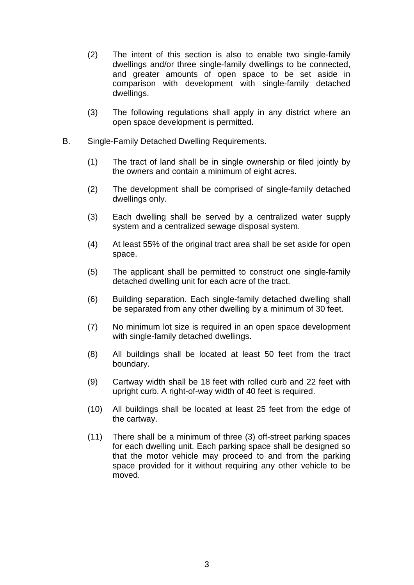- (2) The intent of this section is also to enable two single-family dwellings and/or three single-family dwellings to be connected, and greater amounts of open space to be set aside in comparison with development with single-family detached dwellings.
- (3) The following regulations shall apply in any district where an open space development is permitted.
- B. Single-Family Detached Dwelling Requirements.
	- (1) The tract of land shall be in single ownership or filed jointly by the owners and contain a minimum of eight acres.
	- (2) The development shall be comprised of single-family detached dwellings only.
	- (3) Each dwelling shall be served by a centralized water supply system and a centralized sewage disposal system.
	- (4) At least 55% of the original tract area shall be set aside for open space.
	- (5) The applicant shall be permitted to construct one single-family detached dwelling unit for each acre of the tract.
	- (6) Building separation. Each single-family detached dwelling shall be separated from any other dwelling by a minimum of 30 feet.
	- (7) No minimum lot size is required in an open space development with single-family detached dwellings.
	- (8) All buildings shall be located at least 50 feet from the tract boundary.
	- (9) Cartway width shall be 18 feet with rolled curb and 22 feet with upright curb. A right-of-way width of 40 feet is required.
	- (10) All buildings shall be located at least 25 feet from the edge of the cartway.
	- (11) There shall be a minimum of three (3) off-street parking spaces for each dwelling unit. Each parking space shall be designed so that the motor vehicle may proceed to and from the parking space provided for it without requiring any other vehicle to be moved.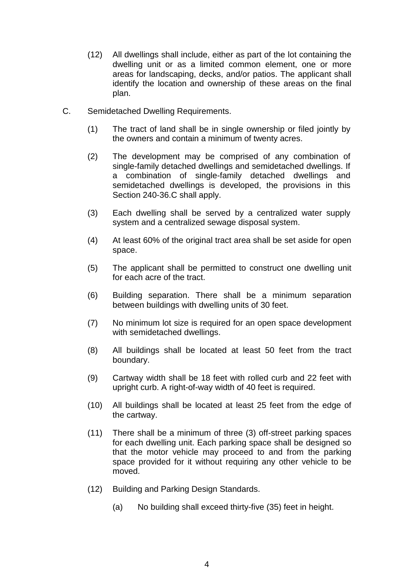- (12) All dwellings shall include, either as part of the lot containing the dwelling unit or as a limited common element, one or more areas for landscaping, decks, and/or patios. The applicant shall identify the location and ownership of these areas on the final plan.
- C. Semidetached Dwelling Requirements.
	- (1) The tract of land shall be in single ownership or filed jointly by the owners and contain a minimum of twenty acres.
	- (2) The development may be comprised of any combination of single-family detached dwellings and semidetached dwellings. If a combination of single-family detached dwellings and semidetached dwellings is developed, the provisions in this Section 240-36.C shall apply.
	- (3) Each dwelling shall be served by a centralized water supply system and a centralized sewage disposal system.
	- (4) At least 60% of the original tract area shall be set aside for open space.
	- (5) The applicant shall be permitted to construct one dwelling unit for each acre of the tract.
	- (6) Building separation. There shall be a minimum separation between buildings with dwelling units of 30 feet.
	- (7) No minimum lot size is required for an open space development with semidetached dwellings.
	- (8) All buildings shall be located at least 50 feet from the tract boundary.
	- (9) Cartway width shall be 18 feet with rolled curb and 22 feet with upright curb. A right-of-way width of 40 feet is required.
	- (10) All buildings shall be located at least 25 feet from the edge of the cartway.
	- (11) There shall be a minimum of three (3) off-street parking spaces for each dwelling unit. Each parking space shall be designed so that the motor vehicle may proceed to and from the parking space provided for it without requiring any other vehicle to be moved.
	- (12) Building and Parking Design Standards.
		- (a) No building shall exceed thirty-five (35) feet in height.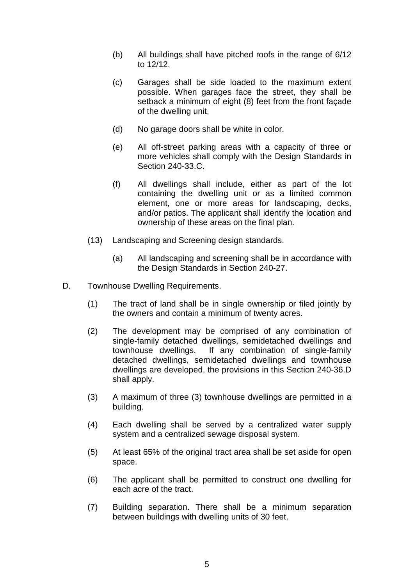- (b) All buildings shall have pitched roofs in the range of 6/12 to 12/12.
- (c) Garages shall be side loaded to the maximum extent possible. When garages face the street, they shall be setback a minimum of eight (8) feet from the front façade of the dwelling unit.
- (d) No garage doors shall be white in color.
- (e) All off-street parking areas with a capacity of three or more vehicles shall comply with the Design Standards in Section 240-33.C.
- (f) All dwellings shall include, either as part of the lot containing the dwelling unit or as a limited common element, one or more areas for landscaping, decks, and/or patios. The applicant shall identify the location and ownership of these areas on the final plan.
- (13) Landscaping and Screening design standards.
	- (a) All landscaping and screening shall be in accordance with the Design Standards in Section 240-27.
- D. Townhouse Dwelling Requirements.
	- (1) The tract of land shall be in single ownership or filed jointly by the owners and contain a minimum of twenty acres.
	- (2) The development may be comprised of any combination of single-family detached dwellings, semidetached dwellings and townhouse dwellings. If any combination of single-family detached dwellings, semidetached dwellings and townhouse dwellings are developed, the provisions in this Section 240-36.D shall apply.
	- (3) A maximum of three (3) townhouse dwellings are permitted in a building.
	- (4) Each dwelling shall be served by a centralized water supply system and a centralized sewage disposal system.
	- (5) At least 65% of the original tract area shall be set aside for open space.
	- (6) The applicant shall be permitted to construct one dwelling for each acre of the tract.
	- (7) Building separation. There shall be a minimum separation between buildings with dwelling units of 30 feet.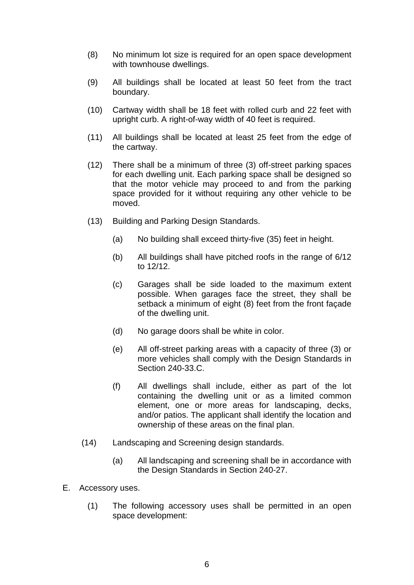- (8) No minimum lot size is required for an open space development with townhouse dwellings.
- (9) All buildings shall be located at least 50 feet from the tract boundary.
- (10) Cartway width shall be 18 feet with rolled curb and 22 feet with upright curb. A right-of-way width of 40 feet is required.
- (11) All buildings shall be located at least 25 feet from the edge of the cartway.
- (12) There shall be a minimum of three (3) off-street parking spaces for each dwelling unit. Each parking space shall be designed so that the motor vehicle may proceed to and from the parking space provided for it without requiring any other vehicle to be moved.
- (13) Building and Parking Design Standards.
	- (a) No building shall exceed thirty-five (35) feet in height.
	- (b) All buildings shall have pitched roofs in the range of 6/12 to 12/12.
	- (c) Garages shall be side loaded to the maximum extent possible. When garages face the street, they shall be setback a minimum of eight (8) feet from the front façade of the dwelling unit.
	- (d) No garage doors shall be white in color.
	- (e) All off-street parking areas with a capacity of three (3) or more vehicles shall comply with the Design Standards in Section 240-33.C.
	- (f) All dwellings shall include, either as part of the lot containing the dwelling unit or as a limited common element, one or more areas for landscaping, decks, and/or patios. The applicant shall identify the location and ownership of these areas on the final plan.
- (14) Landscaping and Screening design standards.
	- (a) All landscaping and screening shall be in accordance with the Design Standards in Section 240-27.
- E. Accessory uses.
	- (1) The following accessory uses shall be permitted in an open space development: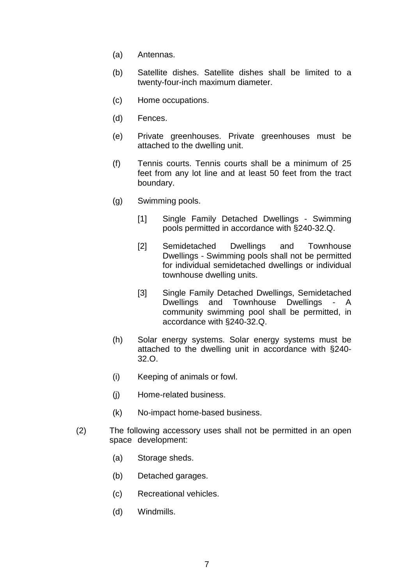- (a) Antennas.
- (b) Satellite dishes. Satellite dishes shall be limited to a twenty-four-inch maximum diameter.
- (c) Home occupations.
- (d) Fences.
- (e) Private greenhouses. Private greenhouses must be attached to the dwelling unit.
- (f) Tennis courts. Tennis courts shall be a minimum of 25 feet from any lot line and at least 50 feet from the tract boundary.
- (g) Swimming pools.
	- [1] Single Family Detached Dwellings Swimming pools permitted in accordance with §240-32.Q.
	- [2] Semidetached Dwellings and Townhouse Dwellings - Swimming pools shall not be permitted for individual semidetached dwellings or individual townhouse dwelling units.
	- [3] Single Family Detached Dwellings, Semidetached Dwellings and Townhouse Dwellings - A community swimming pool shall be permitted, in accordance with §240-32.Q.
- (h) Solar energy systems. Solar energy systems must be attached to the dwelling unit in accordance with §240- 32.O.
- (i) Keeping of animals or fowl.
- (j) Home-related business.
- (k) No-impact home-based business.
- (2) The following accessory uses shall not be permitted in an open space development:
	- (a) Storage sheds.
	- (b) Detached garages.
	- (c) Recreational vehicles.
	- (d) Windmills.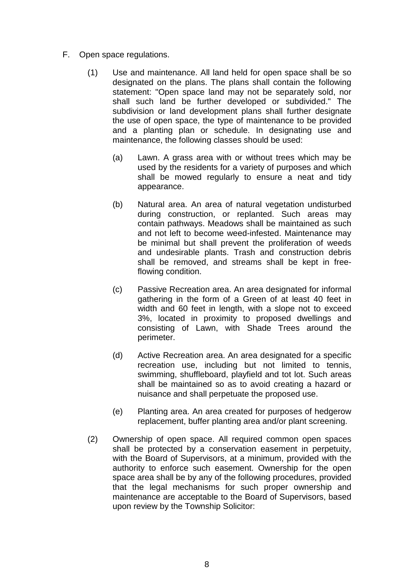- F. Open space regulations.
	- (1) Use and maintenance. All land held for open space shall be so designated on the plans. The plans shall contain the following statement: "Open space land may not be separately sold, nor shall such land be further developed or subdivided." The subdivision or land development plans shall further designate the use of open space, the type of maintenance to be provided and a planting plan or schedule. In designating use and maintenance, the following classes should be used:
		- (a) Lawn. A grass area with or without trees which may be used by the residents for a variety of purposes and which shall be mowed regularly to ensure a neat and tidy appearance.
		- (b) Natural area. An area of natural vegetation undisturbed during construction, or replanted. Such areas may contain pathways. Meadows shall be maintained as such and not left to become weed-infested. Maintenance may be minimal but shall prevent the proliferation of weeds and undesirable plants. Trash and construction debris shall be removed, and streams shall be kept in freeflowing condition.
		- (c) Passive Recreation area. An area designated for informal gathering in the form of a Green of at least 40 feet in width and 60 feet in length, with a slope not to exceed 3%, located in proximity to proposed dwellings and consisting of Lawn, with Shade Trees around the perimeter.
		- (d) Active Recreation area. An area designated for a specific recreation use, including but not limited to tennis, swimming, shuffleboard, playfield and tot lot. Such areas shall be maintained so as to avoid creating a hazard or nuisance and shall perpetuate the proposed use.
		- (e) Planting area. An area created for purposes of hedgerow replacement, buffer planting area and/or plant screening.
	- (2) Ownership of open space. All required common open spaces shall be protected by a conservation easement in perpetuity, with the Board of Supervisors, at a minimum, provided with the authority to enforce such easement. Ownership for the open space area shall be by any of the following procedures, provided that the legal mechanisms for such proper ownership and maintenance are acceptable to the Board of Supervisors, based upon review by the Township Solicitor: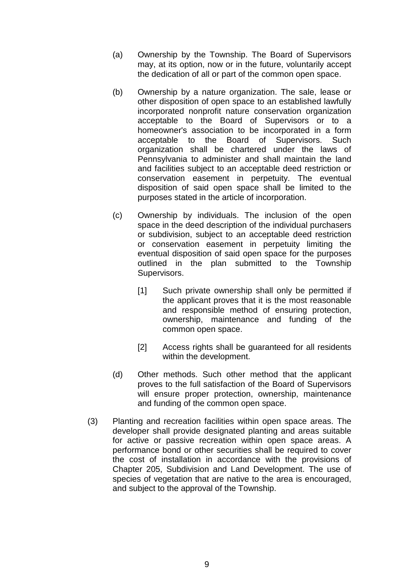- (a) Ownership by the Township. The Board of Supervisors may, at its option, now or in the future, voluntarily accept the dedication of all or part of the common open space.
- (b) Ownership by a nature organization. The sale, lease or other disposition of open space to an established lawfully incorporated nonprofit nature conservation organization acceptable to the Board of Supervisors or to a homeowner's association to be incorporated in a form acceptable to the Board of Supervisors. Such organization shall be chartered under the laws of Pennsylvania to administer and shall maintain the land and facilities subject to an acceptable deed restriction or conservation easement in perpetuity. The eventual disposition of said open space shall be limited to the purposes stated in the article of incorporation.
- (c) Ownership by individuals. The inclusion of the open space in the deed description of the individual purchasers or subdivision, subject to an acceptable deed restriction or conservation easement in perpetuity limiting the eventual disposition of said open space for the purposes outlined in the plan submitted to the Township Supervisors.
	- [1] Such private ownership shall only be permitted if the applicant proves that it is the most reasonable and responsible method of ensuring protection, ownership, maintenance and funding of the common open space.
	- [2] Access rights shall be guaranteed for all residents within the development.
- (d) Other methods. Such other method that the applicant proves to the full satisfaction of the Board of Supervisors will ensure proper protection, ownership, maintenance and funding of the common open space.
- (3) Planting and recreation facilities within open space areas. The developer shall provide designated planting and areas suitable for active or passive recreation within open space areas. A performance bond or other securities shall be required to cover the cost of installation in accordance with the provisions of Chapter 205, Subdivision and Land Development. The use of species of vegetation that are native to the area is encouraged, and subject to the approval of the Township.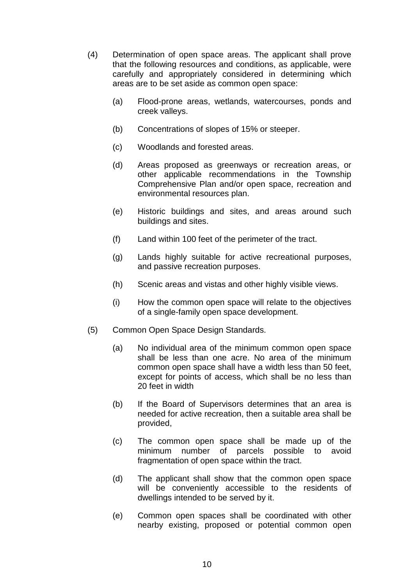- (4) Determination of open space areas. The applicant shall prove that the following resources and conditions, as applicable, were carefully and appropriately considered in determining which areas are to be set aside as common open space:
	- (a) Flood-prone areas, wetlands, watercourses, ponds and creek valleys.
	- (b) Concentrations of slopes of 15% or steeper.
	- (c) Woodlands and forested areas.
	- (d) Areas proposed as greenways or recreation areas, or other applicable recommendations in the Township Comprehensive Plan and/or open space, recreation and environmental resources plan.
	- (e) Historic buildings and sites, and areas around such buildings and sites.
	- (f) Land within 100 feet of the perimeter of the tract.
	- (g) Lands highly suitable for active recreational purposes, and passive recreation purposes.
	- (h) Scenic areas and vistas and other highly visible views.
	- (i) How the common open space will relate to the objectives of a single-family open space development.
- (5) Common Open Space Design Standards.
	- (a) No individual area of the minimum common open space shall be less than one acre. No area of the minimum common open space shall have a width less than 50 feet, except for points of access, which shall be no less than 20 feet in width
	- (b) If the Board of Supervisors determines that an area is needed for active recreation, then a suitable area shall be provided,
	- (c) The common open space shall be made up of the minimum number of parcels possible to avoid fragmentation of open space within the tract.
	- (d) The applicant shall show that the common open space will be conveniently accessible to the residents of dwellings intended to be served by it.
	- (e) Common open spaces shall be coordinated with other nearby existing, proposed or potential common open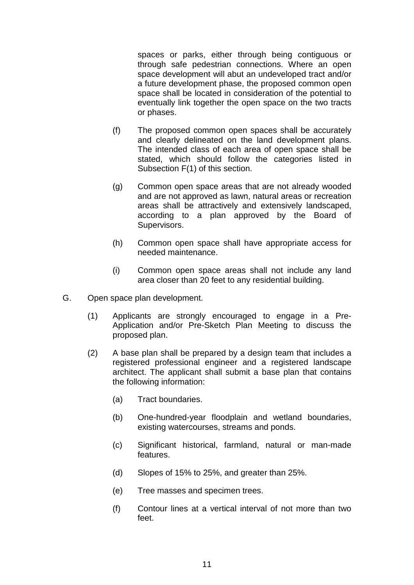spaces or parks, either through being contiguous or through safe pedestrian connections. Where an open space development will abut an undeveloped tract and/or a future development phase, the proposed common open space shall be located in consideration of the potential to eventually link together the open space on the two tracts or phases.

- (f) The proposed common open spaces shall be accurately and clearly delineated on the land development plans. The intended class of each area of open space shall be stated, which should follow the categories listed in Subsection F(1) of this section.
- (g) Common open space areas that are not already wooded and are not approved as lawn, natural areas or recreation areas shall be attractively and extensively landscaped, according to a plan approved by the Board of Supervisors.
- (h) Common open space shall have appropriate access for needed maintenance.
- (i) Common open space areas shall not include any land area closer than 20 feet to any residential building.
- G. Open space plan development.
	- (1) Applicants are strongly encouraged to engage in a Pre-Application and/or Pre-Sketch Plan Meeting to discuss the proposed plan.
	- (2) A base plan shall be prepared by a design team that includes a registered professional engineer and a registered landscape architect. The applicant shall submit a base plan that contains the following information:
		- (a) Tract boundaries.
		- (b) One-hundred-year floodplain and wetland boundaries, existing watercourses, streams and ponds.
		- (c) Significant historical, farmland, natural or man-made features.
		- (d) Slopes of 15% to 25%, and greater than 25%.
		- (e) Tree masses and specimen trees.
		- (f) Contour lines at a vertical interval of not more than two feet.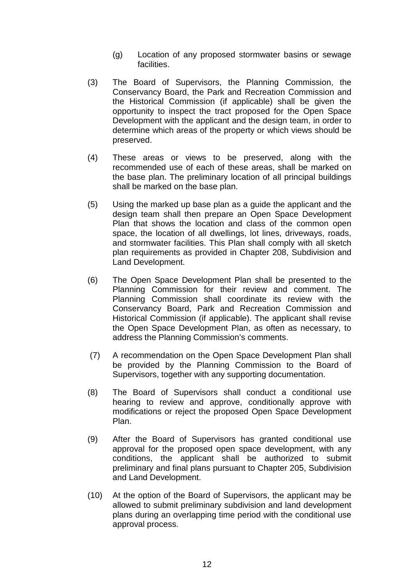- (g) Location of any proposed stormwater basins or sewage facilities.
- (3) The Board of Supervisors, the Planning Commission, the Conservancy Board, the Park and Recreation Commission and the Historical Commission (if applicable) shall be given the opportunity to inspect the tract proposed for the Open Space Development with the applicant and the design team, in order to determine which areas of the property or which views should be preserved.
- (4) These areas or views to be preserved, along with the recommended use of each of these areas, shall be marked on the base plan. The preliminary location of all principal buildings shall be marked on the base plan.
- (5) Using the marked up base plan as a guide the applicant and the design team shall then prepare an Open Space Development Plan that shows the location and class of the common open space, the location of all dwellings, lot lines, driveways, roads, and stormwater facilities. This Plan shall comply with all sketch plan requirements as provided in Chapter 208, Subdivision and Land Development.
- (6) The Open Space Development Plan shall be presented to the Planning Commission for their review and comment. The Planning Commission shall coordinate its review with the Conservancy Board, Park and Recreation Commission and Historical Commission (if applicable). The applicant shall revise the Open Space Development Plan, as often as necessary, to address the Planning Commission's comments.
- (7) A recommendation on the Open Space Development Plan shall be provided by the Planning Commission to the Board of Supervisors, together with any supporting documentation.
- (8) The Board of Supervisors shall conduct a conditional use hearing to review and approve, conditionally approve with modifications or reject the proposed Open Space Development Plan.
- (9) After the Board of Supervisors has granted conditional use approval for the proposed open space development, with any conditions, the applicant shall be authorized to submit preliminary and final plans pursuant to Chapter 205, Subdivision and Land Development.
- (10) At the option of the Board of Supervisors, the applicant may be allowed to submit preliminary subdivision and land development plans during an overlapping time period with the conditional use approval process.